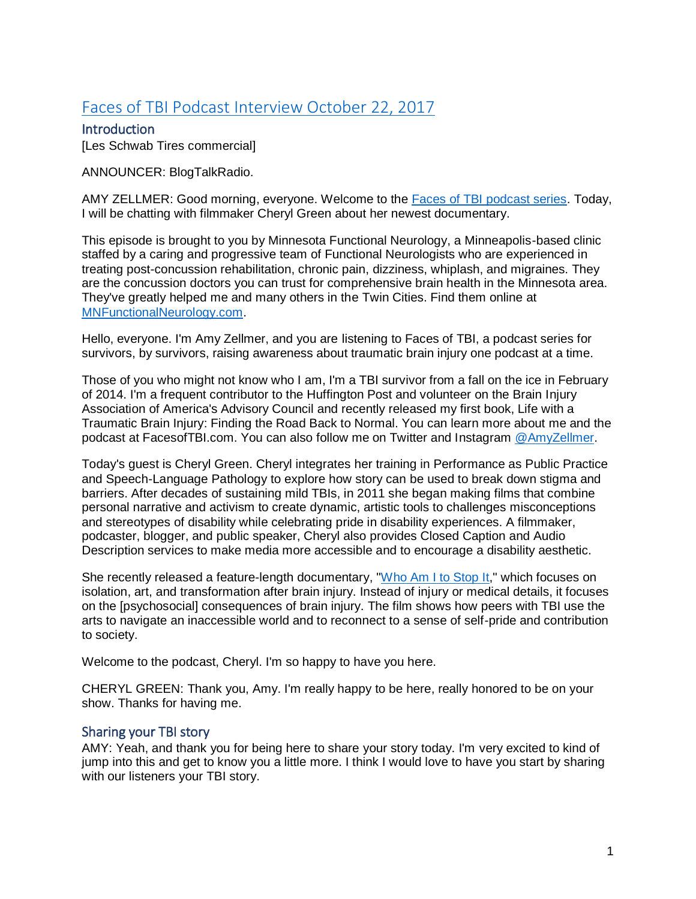# [Faces of TBI Podcast Interview October 22, 2017](http://www.blogtalkradio.com/facesoftbi/2017/10/24/brain-injury-survivor-cheryl-green-releases-feature-length-documentary)

**Introduction** [Les Schwab Tires commercial]

ANNOUNCER: BlogTalkRadio.

AMY ZELLMER: Good morning, everyone. Welcome to the [Faces of TBI podcast series.](http://www.blogtalkradio.com/facesoftbi) Today, I will be chatting with filmmaker Cheryl Green about her newest documentary.

This episode is brought to you by Minnesota Functional Neurology, a Minneapolis-based clinic staffed by a caring and progressive team of Functional Neurologists who are experienced in treating post-concussion rehabilitation, chronic pain, dizziness, whiplash, and migraines. They are the concussion doctors you can trust for comprehensive brain health in the Minnesota area. They've greatly helped me and many others in the Twin Cities. Find them online at [MNFunctionalNeurology.com.](http://mnfunctionalneurology.com/)

Hello, everyone. I'm Amy Zellmer, and you are listening to Faces of TBI, a podcast series for survivors, by survivors, raising awareness about traumatic brain injury one podcast at a time.

Those of you who might not know who I am, I'm a TBI survivor from a fall on the ice in February of 2014. I'm a frequent contributor to the Huffington Post and volunteer on the Brain Injury Association of America's Advisory Council and recently released my first book, Life with a Traumatic Brain Injury: Finding the Road Back to Normal. You can learn more about me and the podcast at FacesofTBI.com. You can also follow me on Twitter and Instagram [@AmyZellmer.](https://twitter.com/amyzellmer)

Today's guest is Cheryl Green. Cheryl integrates her training in Performance as Public Practice and Speech-Language Pathology to explore how story can be used to break down stigma and barriers. After decades of sustaining mild TBIs, in 2011 she began making films that combine personal narrative and activism to create dynamic, artistic tools to challenges misconceptions and stereotypes of disability while celebrating pride in disability experiences. A filmmaker, podcaster, blogger, and public speaker, Cheryl also provides Closed Caption and Audio Description services to make media more accessible and to encourage a disability aesthetic.

She recently released a feature-length documentary, ["Who Am I to Stop It,](https://www.newday.com/film/who-am-i-stop-it)" which focuses on isolation, art, and transformation after brain injury. Instead of injury or medical details, it focuses on the [psychosocial] consequences of brain injury. The film shows how peers with TBI use the arts to navigate an inaccessible world and to reconnect to a sense of self-pride and contribution to society.

Welcome to the podcast, Cheryl. I'm so happy to have you here.

CHERYL GREEN: Thank you, Amy. I'm really happy to be here, really honored to be on your show. Thanks for having me.

# Sharing your TBI story

AMY: Yeah, and thank you for being here to share your story today. I'm very excited to kind of jump into this and get to know you a little more. I think I would love to have you start by sharing with our listeners your TBI story.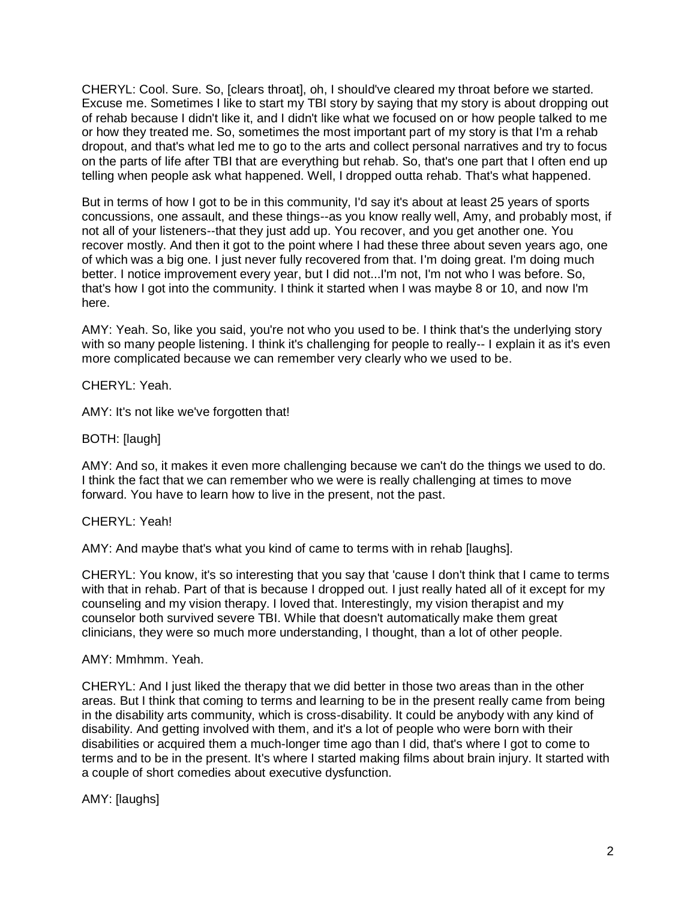CHERYL: Cool. Sure. So, [clears throat], oh, I should've cleared my throat before we started. Excuse me. Sometimes I like to start my TBI story by saying that my story is about dropping out of rehab because I didn't like it, and I didn't like what we focused on or how people talked to me or how they treated me. So, sometimes the most important part of my story is that I'm a rehab dropout, and that's what led me to go to the arts and collect personal narratives and try to focus on the parts of life after TBI that are everything but rehab. So, that's one part that I often end up telling when people ask what happened. Well, I dropped outta rehab. That's what happened.

But in terms of how I got to be in this community, I'd say it's about at least 25 years of sports concussions, one assault, and these things--as you know really well, Amy, and probably most, if not all of your listeners--that they just add up. You recover, and you get another one. You recover mostly. And then it got to the point where I had these three about seven years ago, one of which was a big one. I just never fully recovered from that. I'm doing great. I'm doing much better. I notice improvement every year, but I did not...I'm not, I'm not who I was before. So, that's how I got into the community. I think it started when I was maybe 8 or 10, and now I'm here.

AMY: Yeah. So, like you said, you're not who you used to be. I think that's the underlying story with so many people listening. I think it's challenging for people to really-- I explain it as it's even more complicated because we can remember very clearly who we used to be.

CHERYL: Yeah.

AMY: It's not like we've forgotten that!

BOTH: [laugh]

AMY: And so, it makes it even more challenging because we can't do the things we used to do. I think the fact that we can remember who we were is really challenging at times to move forward. You have to learn how to live in the present, not the past.

#### CHERYL: Yeah!

AMY: And maybe that's what you kind of came to terms with in rehab [laughs].

CHERYL: You know, it's so interesting that you say that 'cause I don't think that I came to terms with that in rehab. Part of that is because I dropped out. I just really hated all of it except for my counseling and my vision therapy. I loved that. Interestingly, my vision therapist and my counselor both survived severe TBI. While that doesn't automatically make them great clinicians, they were so much more understanding, I thought, than a lot of other people.

#### AMY: Mmhmm. Yeah.

CHERYL: And I just liked the therapy that we did better in those two areas than in the other areas. But I think that coming to terms and learning to be in the present really came from being in the disability arts community, which is cross-disability. It could be anybody with any kind of disability. And getting involved with them, and it's a lot of people who were born with their disabilities or acquired them a much-longer time ago than I did, that's where I got to come to terms and to be in the present. It's where I started making films about brain injury. It started with a couple of short comedies about executive dysfunction.

AMY: [laughs]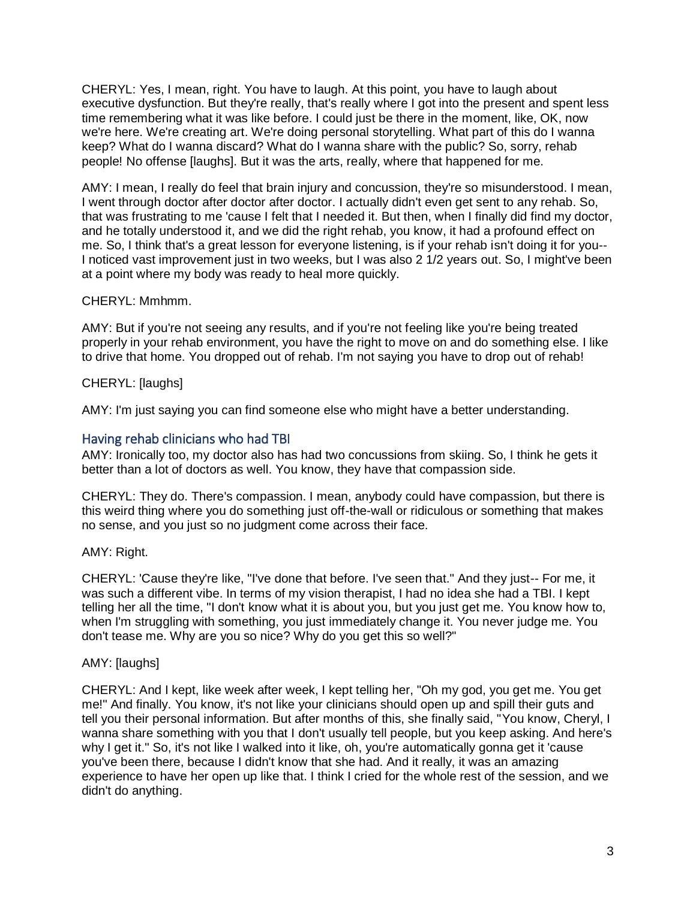CHERYL: Yes, I mean, right. You have to laugh. At this point, you have to laugh about executive dysfunction. But they're really, that's really where I got into the present and spent less time remembering what it was like before. I could just be there in the moment, like, OK, now we're here. We're creating art. We're doing personal storytelling. What part of this do I wanna keep? What do I wanna discard? What do I wanna share with the public? So, sorry, rehab people! No offense [laughs]. But it was the arts, really, where that happened for me.

AMY: I mean, I really do feel that brain injury and concussion, they're so misunderstood. I mean, I went through doctor after doctor after doctor. I actually didn't even get sent to any rehab. So, that was frustrating to me 'cause I felt that I needed it. But then, when I finally did find my doctor, and he totally understood it, and we did the right rehab, you know, it had a profound effect on me. So, I think that's a great lesson for everyone listening, is if your rehab isn't doing it for you-- I noticed vast improvement just in two weeks, but I was also 2 1/2 years out. So, I might've been at a point where my body was ready to heal more quickly.

#### CHERYL: Mmhmm.

AMY: But if you're not seeing any results, and if you're not feeling like you're being treated properly in your rehab environment, you have the right to move on and do something else. I like to drive that home. You dropped out of rehab. I'm not saying you have to drop out of rehab!

#### CHERYL: [laughs]

AMY: I'm just saying you can find someone else who might have a better understanding.

# Having rehab clinicians who had TBI

AMY: Ironically too, my doctor also has had two concussions from skiing. So, I think he gets it better than a lot of doctors as well. You know, they have that compassion side.

CHERYL: They do. There's compassion. I mean, anybody could have compassion, but there is this weird thing where you do something just off-the-wall or ridiculous or something that makes no sense, and you just so no judgment come across their face.

# AMY: Right.

CHERYL: 'Cause they're like, "I've done that before. I've seen that." And they just-- For me, it was such a different vibe. In terms of my vision therapist, I had no idea she had a TBI. I kept telling her all the time, "I don't know what it is about you, but you just get me. You know how to, when I'm struggling with something, you just immediately change it. You never judge me. You don't tease me. Why are you so nice? Why do you get this so well?"

# AMY: [laughs]

CHERYL: And I kept, like week after week, I kept telling her, "Oh my god, you get me. You get me!" And finally. You know, it's not like your clinicians should open up and spill their guts and tell you their personal information. But after months of this, she finally said, "You know, Cheryl, I wanna share something with you that I don't usually tell people, but you keep asking. And here's why I get it." So, it's not like I walked into it like, oh, you're automatically gonna get it 'cause you've been there, because I didn't know that she had. And it really, it was an amazing experience to have her open up like that. I think I cried for the whole rest of the session, and we didn't do anything.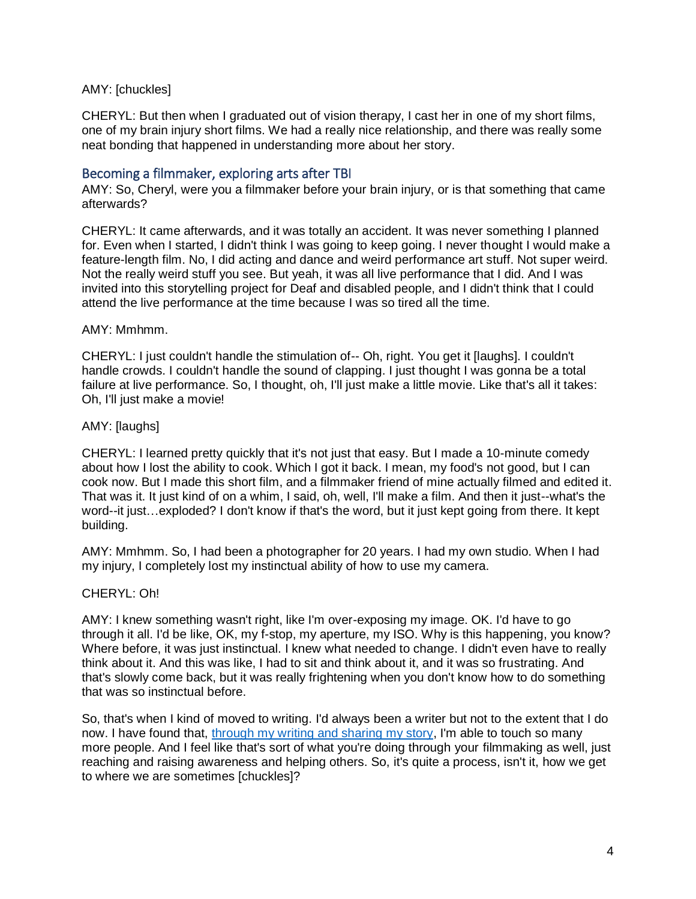# AMY: [chuckles]

CHERYL: But then when I graduated out of vision therapy, I cast her in one of my short films, one of my brain injury short films. We had a really nice relationship, and there was really some neat bonding that happened in understanding more about her story.

# Becoming a filmmaker, exploring arts after TBI

AMY: So, Cheryl, were you a filmmaker before your brain injury, or is that something that came afterwards?

CHERYL: It came afterwards, and it was totally an accident. It was never something I planned for. Even when I started, I didn't think I was going to keep going. I never thought I would make a feature-length film. No, I did acting and dance and weird performance art stuff. Not super weird. Not the really weird stuff you see. But yeah, it was all live performance that I did. And I was invited into this storytelling project for Deaf and disabled people, and I didn't think that I could attend the live performance at the time because I was so tired all the time.

#### AMY: Mmhmm.

CHERYL: I just couldn't handle the stimulation of-- Oh, right. You get it [laughs]. I couldn't handle crowds. I couldn't handle the sound of clapping. I just thought I was gonna be a total failure at live performance. So, I thought, oh, I'll just make a little movie. Like that's all it takes: Oh, I'll just make a movie!

#### AMY: [laughs]

CHERYL: I learned pretty quickly that it's not just that easy. But I made a 10-minute comedy about how I lost the ability to cook. Which I got it back. I mean, my food's not good, but I can cook now. But I made this short film, and a filmmaker friend of mine actually filmed and edited it. That was it. It just kind of on a whim, I said, oh, well, I'll make a film. And then it just--what's the word--it just…exploded? I don't know if that's the word, but it just kept going from there. It kept building.

AMY: Mmhmm. So, I had been a photographer for 20 years. I had my own studio. When I had my injury, I completely lost my instinctual ability of how to use my camera.

# CHERYL: Oh!

AMY: I knew something wasn't right, like I'm over-exposing my image. OK. I'd have to go through it all. I'd be like, OK, my f-stop, my aperture, my ISO. Why is this happening, you know? Where before, it was just instinctual. I knew what needed to change. I didn't even have to really think about it. And this was like, I had to sit and think about it, and it was so frustrating. And that's slowly come back, but it was really frightening when you don't know how to do something that was so instinctual before.

So, that's when I kind of moved to writing. I'd always been a writer but not to the extent that I do now. I have found that, [through my writing and sharing my story,](http://amyzellmer.net/) I'm able to touch so many more people. And I feel like that's sort of what you're doing through your filmmaking as well, just reaching and raising awareness and helping others. So, it's quite a process, isn't it, how we get to where we are sometimes [chuckles]?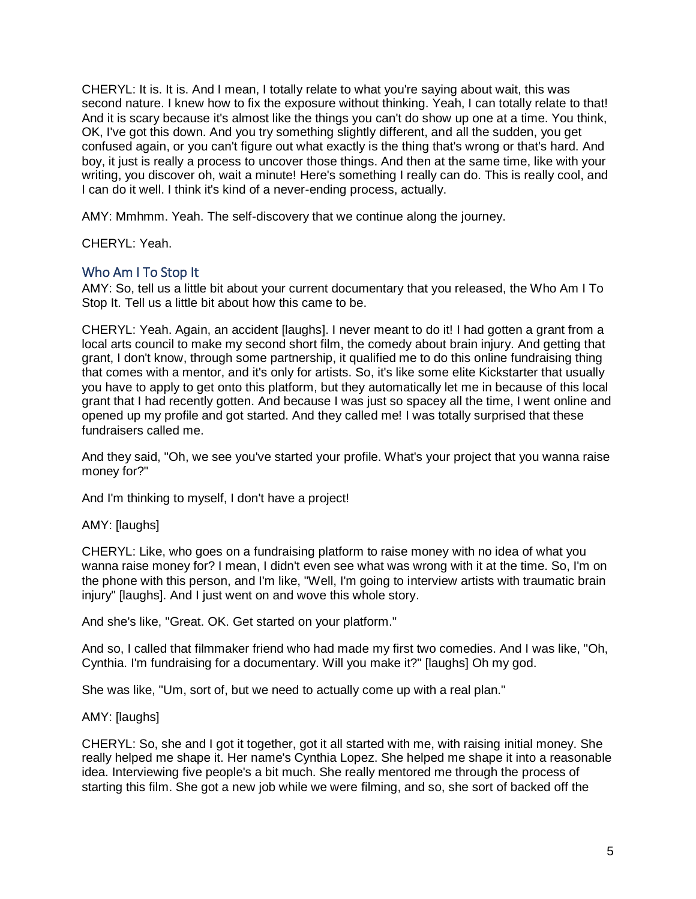CHERYL: It is. It is. And I mean, I totally relate to what you're saying about wait, this was second nature. I knew how to fix the exposure without thinking. Yeah, I can totally relate to that! And it is scary because it's almost like the things you can't do show up one at a time. You think, OK, I've got this down. And you try something slightly different, and all the sudden, you get confused again, or you can't figure out what exactly is the thing that's wrong or that's hard. And boy, it just is really a process to uncover those things. And then at the same time, like with your writing, you discover oh, wait a minute! Here's something I really can do. This is really cool, and I can do it well. I think it's kind of a never-ending process, actually.

AMY: Mmhmm. Yeah. The self-discovery that we continue along the journey.

CHERYL: Yeah.

# Who Am I To Stop It

AMY: So, tell us a little bit about your current documentary that you released, the Who Am I To Stop It. Tell us a little bit about how this came to be.

CHERYL: Yeah. Again, an accident [laughs]. I never meant to do it! I had gotten a grant from a local arts council to make my second short film, the comedy about brain injury. And getting that grant, I don't know, through some partnership, it qualified me to do this online fundraising thing that comes with a mentor, and it's only for artists. So, it's like some elite Kickstarter that usually you have to apply to get onto this platform, but they automatically let me in because of this local grant that I had recently gotten. And because I was just so spacey all the time, I went online and opened up my profile and got started. And they called me! I was totally surprised that these fundraisers called me.

And they said, "Oh, we see you've started your profile. What's your project that you wanna raise money for?"

And I'm thinking to myself, I don't have a project!

AMY: [laughs]

CHERYL: Like, who goes on a fundraising platform to raise money with no idea of what you wanna raise money for? I mean, I didn't even see what was wrong with it at the time. So, I'm on the phone with this person, and I'm like, "Well, I'm going to interview artists with traumatic brain injury" Ilaughs]. And I just went on and wove this whole story.

And she's like, "Great. OK. Get started on your platform."

And so, I called that filmmaker friend who had made my first two comedies. And I was like, "Oh, Cynthia. I'm fundraising for a documentary. Will you make it?" [laughs] Oh my god.

She was like, "Um, sort of, but we need to actually come up with a real plan."

# AMY: [laughs]

CHERYL: So, she and I got it together, got it all started with me, with raising initial money. She really helped me shape it. Her name's Cynthia Lopez. She helped me shape it into a reasonable idea. Interviewing five people's a bit much. She really mentored me through the process of starting this film. She got a new job while we were filming, and so, she sort of backed off the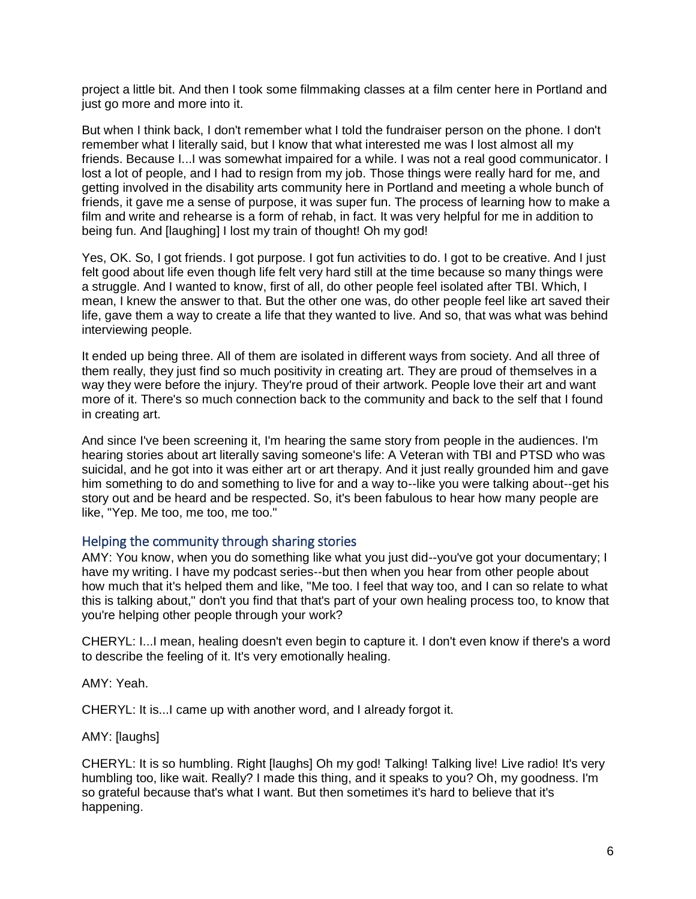project a little bit. And then I took some filmmaking classes at a film center here in Portland and just go more and more into it.

But when I think back, I don't remember what I told the fundraiser person on the phone. I don't remember what I literally said, but I know that what interested me was I lost almost all my friends. Because I...I was somewhat impaired for a while. I was not a real good communicator. I lost a lot of people, and I had to resign from my job. Those things were really hard for me, and getting involved in the disability arts community here in Portland and meeting a whole bunch of friends, it gave me a sense of purpose, it was super fun. The process of learning how to make a film and write and rehearse is a form of rehab, in fact. It was very helpful for me in addition to being fun. And [laughing] I lost my train of thought! Oh my god!

Yes, OK. So, I got friends. I got purpose. I got fun activities to do. I got to be creative. And I just felt good about life even though life felt very hard still at the time because so many things were a struggle. And I wanted to know, first of all, do other people feel isolated after TBI. Which, I mean, I knew the answer to that. But the other one was, do other people feel like art saved their life, gave them a way to create a life that they wanted to live. And so, that was what was behind interviewing people.

It ended up being three. All of them are isolated in different ways from society. And all three of them really, they just find so much positivity in creating art. They are proud of themselves in a way they were before the injury. They're proud of their artwork. People love their art and want more of it. There's so much connection back to the community and back to the self that I found in creating art.

And since I've been screening it, I'm hearing the same story from people in the audiences. I'm hearing stories about art literally saving someone's life: A Veteran with TBI and PTSD who was suicidal, and he got into it was either art or art therapy. And it just really grounded him and gave him something to do and something to live for and a way to--like you were talking about--get his story out and be heard and be respected. So, it's been fabulous to hear how many people are like, "Yep. Me too, me too, me too."

# Helping the community through sharing stories

AMY: You know, when you do something like what you just did--you've got your documentary; I have my writing. I have my podcast series--but then when you hear from other people about how much that it's helped them and like, "Me too. I feel that way too, and I can so relate to what this is talking about," don't you find that that's part of your own healing process too, to know that you're helping other people through your work?

CHERYL: I...I mean, healing doesn't even begin to capture it. I don't even know if there's a word to describe the feeling of it. It's very emotionally healing.

AMY: Yeah.

CHERYL: It is...I came up with another word, and I already forgot it.

AMY: [laughs]

CHERYL: It is so humbling. Right [laughs] Oh my god! Talking! Talking live! Live radio! It's very humbling too, like wait. Really? I made this thing, and it speaks to you? Oh, my goodness. I'm so grateful because that's what I want. But then sometimes it's hard to believe that it's happening.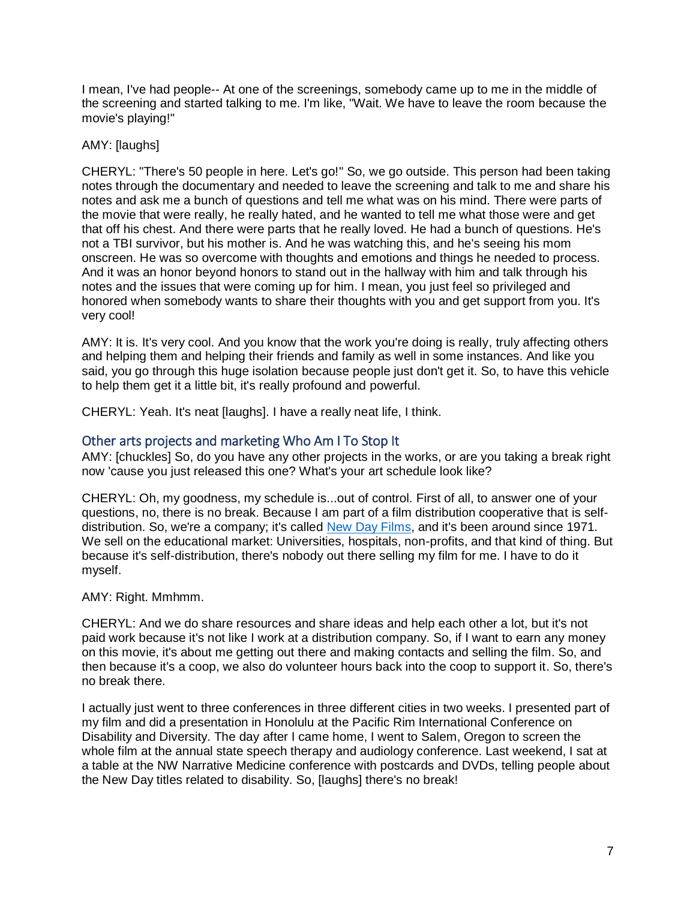I mean, I've had people-- At one of the screenings, somebody came up to me in the middle of the screening and started talking to me. I'm like, "Wait. We have to leave the room because the movie's playing!"

# AMY: [laughs]

CHERYL: "There's 50 people in here. Let's go!" So, we go outside. This person had been taking notes through the documentary and needed to leave the screening and talk to me and share his notes and ask me a bunch of questions and tell me what was on his mind. There were parts of the movie that were really, he really hated, and he wanted to tell me what those were and get that off his chest. And there were parts that he really loved. He had a bunch of questions. He's not a TBI survivor, but his mother is. And he was watching this, and he's seeing his mom onscreen. He was so overcome with thoughts and emotions and things he needed to process. And it was an honor beyond honors to stand out in the hallway with him and talk through his notes and the issues that were coming up for him. I mean, you just feel so privileged and honored when somebody wants to share their thoughts with you and get support from you. It's very cool!

AMY: It is. It's very cool. And you know that the work you're doing is really, truly affecting others and helping them and helping their friends and family as well in some instances. And like you said, you go through this huge isolation because people just don't get it. So, to have this vehicle to help them get it a little bit, it's really profound and powerful.

CHERYL: Yeah. It's neat [laughs]. I have a really neat life, I think.

# Other arts projects and marketing Who Am I To Stop It

AMY: [chuckles] So, do you have any other projects in the works, or are you taking a break right now 'cause you just released this one? What's your art schedule look like?

CHERYL: Oh, my goodness, my schedule is...out of control. First of all, to answer one of your questions, no, there is no break. Because I am part of a film distribution cooperative that is selfdistribution. So, we're a company; it's called [New Day Films,](https://www.newday.com/) and it's been around since 1971. We sell on the educational market: Universities, hospitals, non-profits, and that kind of thing. But because it's self-distribution, there's nobody out there selling my film for me. I have to do it myself.

# AMY: Right. Mmhmm.

CHERYL: And we do share resources and share ideas and help each other a lot, but it's not paid work because it's not like I work at a distribution company. So, if I want to earn any money on this movie, it's about me getting out there and making contacts and selling the film. So, and then because it's a coop, we also do volunteer hours back into the coop to support it. So, there's no break there.

I actually just went to three conferences in three different cities in two weeks. I presented part of my film and did a presentation in Honolulu at the Pacific Rim International Conference on Disability and Diversity. The day after I came home, I went to Salem, Oregon to screen the whole film at the annual state speech therapy and audiology conference. Last weekend, I sat at a table at the NW Narrative Medicine conference with postcards and DVDs, telling people about the New Day titles related to disability. So, [laughs] there's no break!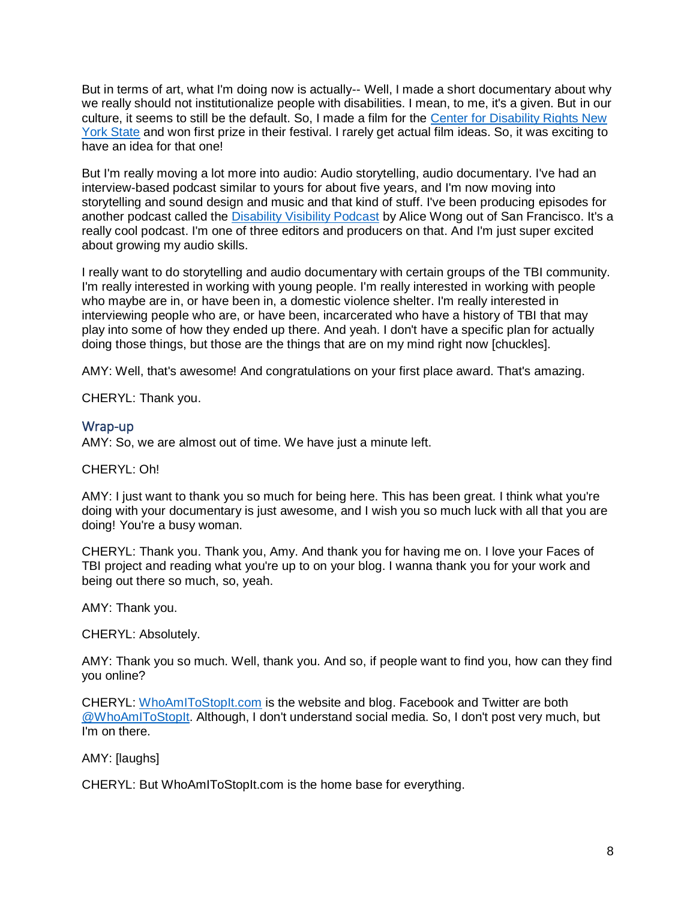But in terms of art, what I'm doing now is actually-- Well, I made a short documentary about why we really should not institutionalize people with disabilities. I mean, to me, it's a given. But in our culture, it seems to still be the default. So, I made a film for the [Center for Disability Rights New](http://cdrnys.org/free-our-people-film-contest/)  [York State](http://cdrnys.org/free-our-people-film-contest/) and won first prize in their festival. I rarely get actual film ideas. So, it was exciting to have an idea for that one!

But I'm really moving a lot more into audio: Audio storytelling, audio documentary. I've had an interview-based podcast similar to yours for about five years, and I'm now moving into storytelling and sound design and music and that kind of stuff. I've been producing episodes for another podcast called the [Disability Visibility Podcast](https://disabilityvisibilityproject.com/podcast-2/) by Alice Wong out of San Francisco. It's a really cool podcast. I'm one of three editors and producers on that. And I'm just super excited about growing my audio skills.

I really want to do storytelling and audio documentary with certain groups of the TBI community. I'm really interested in working with young people. I'm really interested in working with people who maybe are in, or have been in, a domestic violence shelter. I'm really interested in interviewing people who are, or have been, incarcerated who have a history of TBI that may play into some of how they ended up there. And yeah. I don't have a specific plan for actually doing those things, but those are the things that are on my mind right now [chuckles].

AMY: Well, that's awesome! And congratulations on your first place award. That's amazing.

CHERYL: Thank you.

# Wrap-up

AMY: So, we are almost out of time. We have just a minute left.

#### CHERYL: Oh!

AMY: I just want to thank you so much for being here. This has been great. I think what you're doing with your documentary is just awesome, and I wish you so much luck with all that you are doing! You're a busy woman.

CHERYL: Thank you. Thank you, Amy. And thank you for having me on. I love your Faces of TBI project and reading what you're up to on your blog. I wanna thank you for your work and being out there so much, so, yeah.

AMY: Thank you.

CHERYL: Absolutely.

AMY: Thank you so much. Well, thank you. And so, if people want to find you, how can they find you online?

CHERYL: [WhoAmIToStopIt.com](http://whoamitostopit.com/) is the website and blog. Facebook and Twitter are both [@WhoAmIToStopIt.](https://www.facebook.com/WhoAmIToStopIt/) Although, I don't understand social media. So, I don't post very much, but I'm on there.

AMY: [laughs]

CHERYL: But WhoAmIToStopIt.com is the home base for everything.